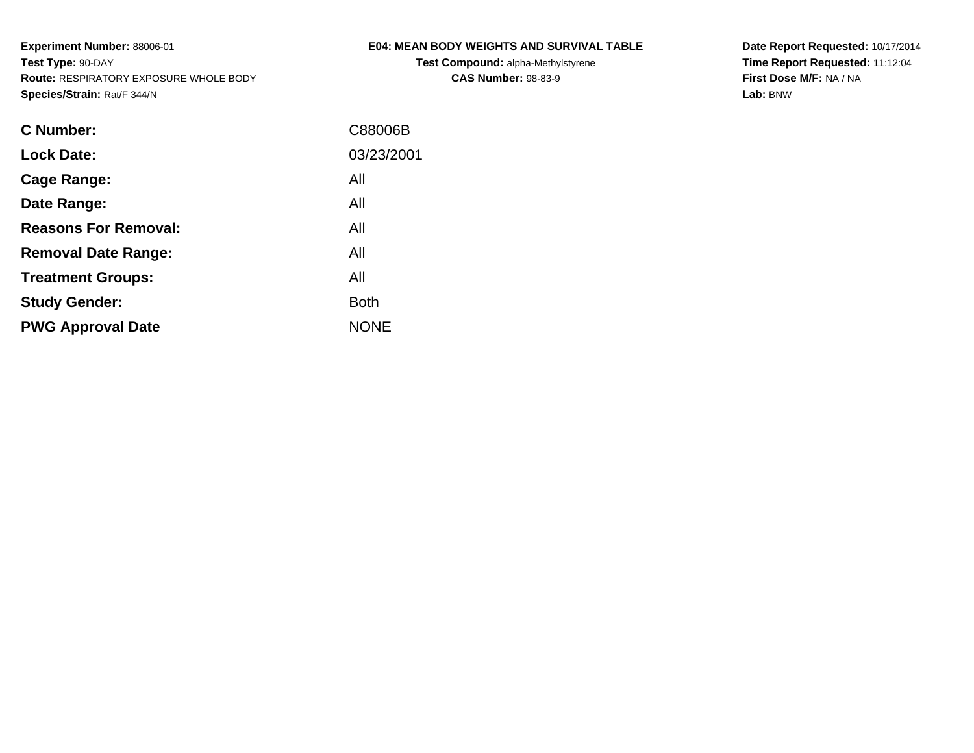**Test Compound:** alpha-Methylstyrene**CAS Number:** 98-83-9

**Date Report Requested:** 10/17/2014 **Time Report Requested:** 11:12:04**First Dose M/F:** NA / NA**Lab:** BNW

| C Number:                   | C88006B     |
|-----------------------------|-------------|
| <b>Lock Date:</b>           | 03/23/2001  |
| Cage Range:                 | All         |
| Date Range:                 | All         |
| <b>Reasons For Removal:</b> | All         |
| <b>Removal Date Range:</b>  | All         |
| <b>Treatment Groups:</b>    | All         |
| <b>Study Gender:</b>        | <b>Both</b> |
| <b>PWG Approval Date</b>    | <b>NONE</b> |
|                             |             |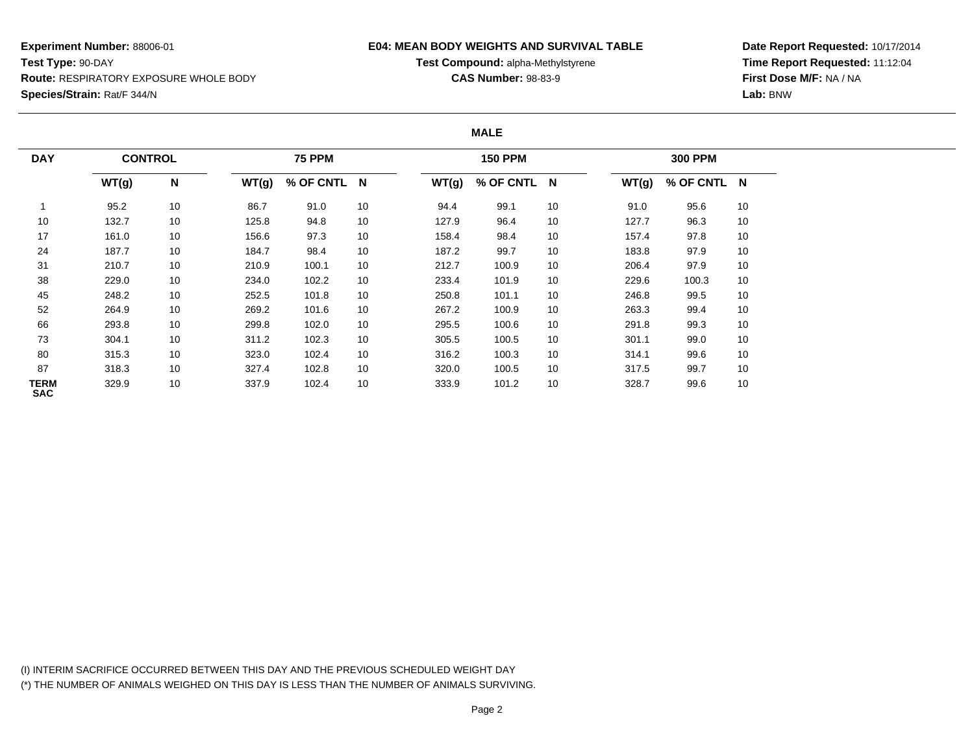### **E04: MEAN BODY WEIGHTS AND SURVIVAL TABLE**

**Test Compound:** alpha-Methylstyrene

**CAS Number:** 98-83-9

**Date Report Requested:** 10/17/2014**Time Report Requested:** 11:12:04**First Dose M/F:** NA / NA**Lab:** BNW

#### **MALE**

| <b>DAY</b>                | <b>CONTROL</b> |                           |       | <b>75 PPM</b> |    |       | <b>150 PPM</b> |    |       | <b>300 PPM</b> |    |  |
|---------------------------|----------------|---------------------------|-------|---------------|----|-------|----------------|----|-------|----------------|----|--|
|                           | WT(g)          | $\boldsymbol{\mathsf{N}}$ | WT(g) | % OF CNTL N   |    | WT(g) | % OF CNTL N    |    | WT(g) | % OF CNTL N    |    |  |
|                           | 95.2           | 10                        | 86.7  | 91.0          | 10 | 94.4  | 99.1           | 10 | 91.0  | 95.6           | 10 |  |
| 10                        | 132.7          | 10                        | 125.8 | 94.8          | 10 | 127.9 | 96.4           | 10 | 127.7 | 96.3           | 10 |  |
| 17                        | 161.0          | 10                        | 156.6 | 97.3          | 10 | 158.4 | 98.4           | 10 | 157.4 | 97.8           | 10 |  |
| 24                        | 187.7          | 10                        | 184.7 | 98.4          | 10 | 187.2 | 99.7           | 10 | 183.8 | 97.9           | 10 |  |
| 31                        | 210.7          | 10                        | 210.9 | 100.1         | 10 | 212.7 | 100.9          | 10 | 206.4 | 97.9           | 10 |  |
| 38                        | 229.0          | 10                        | 234.0 | 102.2         | 10 | 233.4 | 101.9          | 10 | 229.6 | 100.3          | 10 |  |
| 45                        | 248.2          | 10                        | 252.5 | 101.8         | 10 | 250.8 | 101.1          | 10 | 246.8 | 99.5           | 10 |  |
| 52                        | 264.9          | 10                        | 269.2 | 101.6         | 10 | 267.2 | 100.9          | 10 | 263.3 | 99.4           | 10 |  |
| 66                        | 293.8          | 10                        | 299.8 | 102.0         | 10 | 295.5 | 100.6          | 10 | 291.8 | 99.3           | 10 |  |
| 73                        | 304.1          | 10                        | 311.2 | 102.3         | 10 | 305.5 | 100.5          | 10 | 301.1 | 99.0           | 10 |  |
| 80                        | 315.3          | 10                        | 323.0 | 102.4         | 10 | 316.2 | 100.3          | 10 | 314.1 | 99.6           | 10 |  |
| 87                        | 318.3          | 10                        | 327.4 | 102.8         | 10 | 320.0 | 100.5          | 10 | 317.5 | 99.7           | 10 |  |
| <b>TERM</b><br><b>SAC</b> | 329.9          | 10                        | 337.9 | 102.4         | 10 | 333.9 | 101.2          | 10 | 328.7 | 99.6           | 10 |  |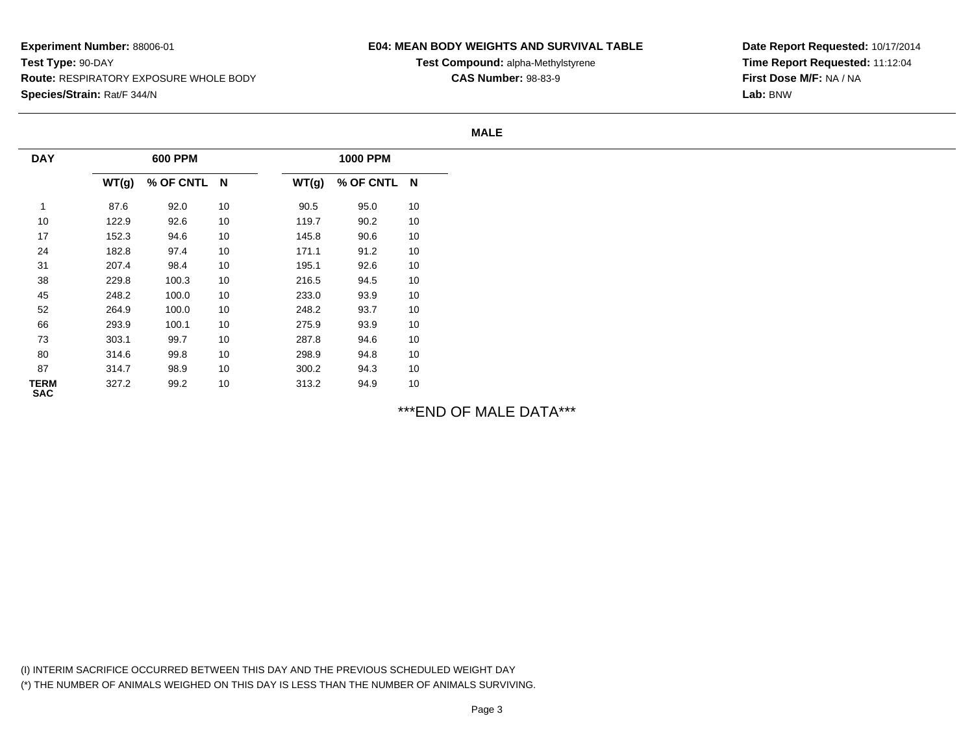### **E04: MEAN BODY WEIGHTS AND SURVIVAL TABLE**

**Test Compound:** alpha-Methylstyrene**CAS Number:** 98-83-9

**Date Report Requested:** 10/17/2014**Time Report Requested:** 11:12:04**First Dose M/F:** NA / NA**Lab:** BNW

**MALE**

| <b>DAY</b>                | 600 PPM |             |    |       | <b>1000 PPM</b> |    |  |  |
|---------------------------|---------|-------------|----|-------|-----------------|----|--|--|
|                           | WT(g)   | % OF CNTL N |    | WT(g) | % OF CNTL N     |    |  |  |
| и                         | 87.6    | 92.0        | 10 | 90.5  | 95.0            | 10 |  |  |
| 10                        | 122.9   | 92.6        | 10 | 119.7 | 90.2            | 10 |  |  |
| 17                        | 152.3   | 94.6        | 10 | 145.8 | 90.6            | 10 |  |  |
| 24                        | 182.8   | 97.4        | 10 | 171.1 | 91.2            | 10 |  |  |
| 31                        | 207.4   | 98.4        | 10 | 195.1 | 92.6            | 10 |  |  |
| 38                        | 229.8   | 100.3       | 10 | 216.5 | 94.5            | 10 |  |  |
| 45                        | 248.2   | 100.0       | 10 | 233.0 | 93.9            | 10 |  |  |
| 52                        | 264.9   | 100.0       | 10 | 248.2 | 93.7            | 10 |  |  |
| 66                        | 293.9   | 100.1       | 10 | 275.9 | 93.9            | 10 |  |  |
| 73                        | 303.1   | 99.7        | 10 | 287.8 | 94.6            | 10 |  |  |
| 80                        | 314.6   | 99.8        | 10 | 298.9 | 94.8            | 10 |  |  |
| 87                        | 314.7   | 98.9        | 10 | 300.2 | 94.3            | 10 |  |  |
| <b>TERM</b><br><b>SAC</b> | 327.2   | 99.2        | 10 | 313.2 | 94.9            | 10 |  |  |

\*\*\*END OF MALE DATA\*\*\*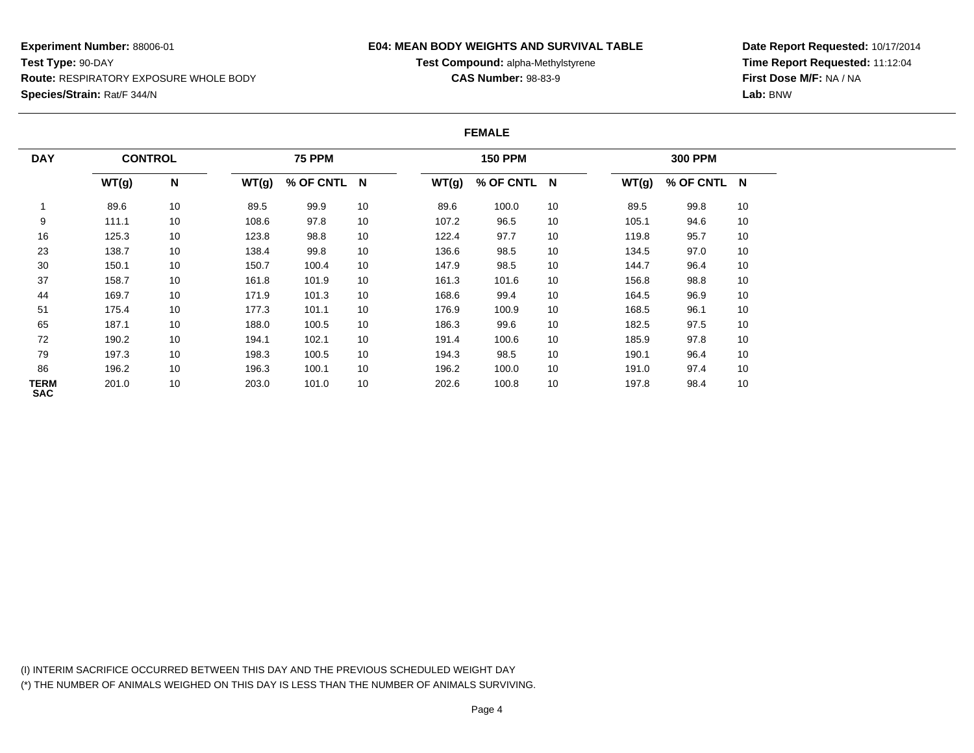### **E04: MEAN BODY WEIGHTS AND SURVIVAL TABLE**

**Test Compound:** alpha-Methylstyrene

**CAS Number:** 98-83-9

**Date Report Requested:** 10/17/2014**Time Report Requested:** 11:12:04**First Dose M/F:** NA / NA**Lab:** BNW

#### **FEMALE**

| <b>DAY</b>                | <b>CONTROL</b> |    |       | <b>75 PPM</b> |    |       | <b>150 PPM</b> |    |       | <b>300 PPM</b> |    |
|---------------------------|----------------|----|-------|---------------|----|-------|----------------|----|-------|----------------|----|
|                           | WT(g)          | N  | WT(g) | % OF CNTL N   |    | WT(g) | % OF CNTL N    |    | WT(g) | % OF CNTL N    |    |
|                           | 89.6           | 10 | 89.5  | 99.9          | 10 | 89.6  | 100.0          | 10 | 89.5  | 99.8           | 10 |
| 9                         | 111.1          | 10 | 108.6 | 97.8          | 10 | 107.2 | 96.5           | 10 | 105.1 | 94.6           | 10 |
| 16                        | 125.3          | 10 | 123.8 | 98.8          | 10 | 122.4 | 97.7           | 10 | 119.8 | 95.7           | 10 |
| 23                        | 138.7          | 10 | 138.4 | 99.8          | 10 | 136.6 | 98.5           | 10 | 134.5 | 97.0           | 10 |
| 30                        | 150.1          | 10 | 150.7 | 100.4         | 10 | 147.9 | 98.5           | 10 | 144.7 | 96.4           | 10 |
| 37                        | 158.7          | 10 | 161.8 | 101.9         | 10 | 161.3 | 101.6          | 10 | 156.8 | 98.8           | 10 |
| 44                        | 169.7          | 10 | 171.9 | 101.3         | 10 | 168.6 | 99.4           | 10 | 164.5 | 96.9           | 10 |
| 51                        | 175.4          | 10 | 177.3 | 101.1         | 10 | 176.9 | 100.9          | 10 | 168.5 | 96.1           | 10 |
| 65                        | 187.1          | 10 | 188.0 | 100.5         | 10 | 186.3 | 99.6           | 10 | 182.5 | 97.5           | 10 |
| 72                        | 190.2          | 10 | 194.1 | 102.1         | 10 | 191.4 | 100.6          | 10 | 185.9 | 97.8           | 10 |
| 79                        | 197.3          | 10 | 198.3 | 100.5         | 10 | 194.3 | 98.5           | 10 | 190.1 | 96.4           | 10 |
| 86                        | 196.2          | 10 | 196.3 | 100.1         | 10 | 196.2 | 100.0          | 10 | 191.0 | 97.4           | 10 |
| <b>TERM</b><br><b>SAC</b> | 201.0          | 10 | 203.0 | 101.0         | 10 | 202.6 | 100.8          | 10 | 197.8 | 98.4           | 10 |